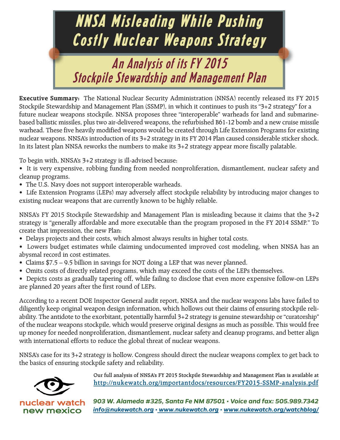

**Executive Summary:** The National Nuclear Security Administration (NNSA) recently released its FY 2015 Stockpile Stewardship and Management Plan (SSMP), in which it continues to push its "3+2 strategy" for a future nuclear weapons stockpile. NNSA proposes three "interoperable" warheads for land and submarinebased ballistic missiles, plus two air-delivered weapons, the refurbished B61-12 bomb and a new cruise missile warhead. These five heavily modified weapons would be created through Life Extension Programs for existing nuclear weapons. NNSA's introduction of its 3+2 strategy in its FY 2014 Plan caused considerable sticker shock. In its latest plan NNSA reworks the numbers to make its 3+2 strategy appear more fiscally palatable.

To begin with, NNSA's 3+2 strategy is ill-advised because:

- It is very expensive, robbing funding from needed nonproliferation, dismantlement, nuclear safety and cleanup programs.
- The U.S. Navy does not support interoperable warheads.
- Life Extension Programs (LEPs) may adversely affect stockpile reliability by introducing major changes to existing nuclear weapons that are currently known to be highly reliable.

NNSA's FY 2015 Stockpile Stewardship and Management Plan is misleading because it claims that the 3+2 strategy is "generally affordable and more executable than the program proposed in the FY 2014 SSMP." To create that impression, the new Plan:

- Delays projects and their costs, which almost always results in higher total costs.
- Lowers budget estimates while claiming undocumented improved cost modeling, when NNSA has an abysmal record in cost estimates.
- Claims \$7.5 9.5 billion in savings for NOT doing a LEP that was never planned.
- Omits costs of directly related programs, which may exceed the costs of the LEPs themselves.
- Depicts costs as gradually tapering off, while failing to disclose that even more expensive follow-on LEPs are planned 20 years after the first round of LEPs.

According to a recent DOE Inspector General audit report, NNSA and the nuclear weapons labs have failed to diligently keep original weapon design information, which hollows out their claims of ensuring stockpile reliability. The antidote to the exorbitant, potentially harmful 3+2 strategy is genuine stewardship or "curatorship" of the nuclear weapons stockpile, which would preserve original designs as much as possible. This would free up money for needed nonproliferation, dismantlement, nuclear safety and cleanup programs, and better align with international efforts to reduce the global threat of nuclear weapons.

NNSA's case for its 3+2 strategy is hollow. Congress should direct the nuclear weapons complex to get back to the basics of ensuring stockpile safety and reliability.



nuclear wat new mexico **Our full analysis of NNSA's FY 2015 Stockpile Stewardship and Management Plan is available at http://nukewatch.org/importantdocs/resources/FY2015-SSMP-analysis.pdf**

*903 W. Alameda #325, Santa Fe NM 87501 • Voice and fax: 505.989.7342 info@nukewatch.org • www.nukewatch.org • www.nukewatch.org/watchblog/*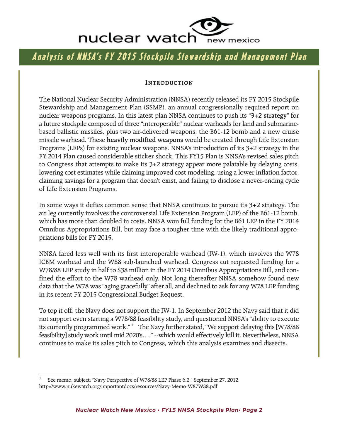

# Analysis of NNSA's FY 2015 Stockpile Stewardship and Management Plan

#### **INTRODUCTION**

The National Nuclear Security Administration (NNSA) recently released its FY 2015 Stockpile Stewardship and Management Plan (SSMP), an annual congressionally required report on nuclear weapons programs. In this latest plan NNSA continues to push its **"3+2 strategy"** for a future stockpile composed of three "interoperable" nuclear warheads for land and submarinebased ballistic missiles, plus two air-delivered weapons, the B61-12 bomb and a new cruise missile warhead. These **heavily modified weapons** would be created through Life Extension Programs (LEPs) for existing nuclear weapons. NNSA's introduction of its 3+2 strategy in the FY 2014 Plan caused considerable sticker shock. This FY15 Plan is NNSA's revised sales pitch to Congress that attempts to make its 3+2 strategy appear more palatable by delaying costs, lowering cost estimates while claiming improved cost modeling, using a lower inflation factor, claiming savings for a program that doesn't exist, and failing to disclose a never-ending cycle of Life Extension Programs.

In some ways it defies common sense that NNSA continues to pursue its 3+2 strategy. The air leg currently involves the controversial Life Extension Program (LEP) of the B61-12 bomb, which has more than doubled in costs. NNSA won full funding for the B61 LEP in the FY 2014 Omnibus Appropriations Bill, but may face a tougher time with the likely traditional appropriations bills for FY 2015.

NNSA fared less well with its first interoperable warhead (IW-1), which involves the W78 ICBM warhead and the W88 sub-launched warhead. Congress cut requested funding for a W78/88 LEP study in half to \$38 million in the FY 2014 Omnibus Appropriations Bill, and confined the effort to the W78 warhead only. Not long thereafter NNSA somehow found new data that the W78 was "aging gracefully" after all, and declined to ask for any W78 LEP funding in its recent FY 2015 Congressional Budget Request.

To top it off, the Navy does not support the IW-1. In September 2012 the Navy said that it did not support even starting a W78/88 feasibility study, and questioned NNSA's "ability to execute its currently programmed work." **<sup>1</sup>** The Navy further stated, "We support delaying this [W78/88 feasibility] study work until mid 2020's…." --which would effectively kill it. Nevertheless, NNSA continues to make its sales pitch to Congress, which this analysis examines and dissects.

<sup>1</sup> See memo, subject: "Navy Perspective of W78/88 LEP Phase 6.2," September 27, 2012, http://www.nukewatch.org/importantdocs/resources/Navy-Memo-W87W88.pdf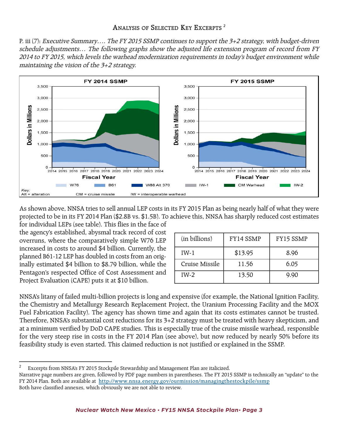P. iii (7): Executive Summary.... The FY 2015 SSMP continues to support the 3+2 strategy, with budget-driven schedule adjustments… The following graphs show the adjusted life extension program of record from FY 2014 to FY 2015, which levels the warhead modernization requirements in today's budget environment while maintaining the vision of the 3+2 strategy.



As shown above, NNSA tries to sell annual LEP costs in its FY 2015 Plan as being nearly half of what they were projected to be in its FY 2014 Plan (\$2.8B vs. \$1.5B). To achieve this, NNSA has sharply reduced cost estimates

for individual LEPs (see table). This flies in the face of the agency's established, abysmal track record of cost overruns, where the comparatively simple W76 LEP increased in costs to around \$4 billion. Currently, the planned B61-12 LEP has doubled in costs from an originally estimated \$4 billion to \$8.79 billion, while the Pentagon's respected Office of Cost Assessment and Project Evaluation (CAPE) puts it at \$10 billion.

| (in billions)  | FY14 SSMP | FY15 SSMP |
|----------------|-----------|-----------|
| $IW-1$         | \$13.95   | 8.96      |
| Cruise Missile | 11.56     | 6.05      |
| $IW-2$         | 13.50     | 9.90      |

NNSA's litany of failed multi-billion projects is long and expensive (for example, the National Ignition Facility, the Chemistry and Metallurgy Research Replacement Project, the Uranium Processing Facility and the MOX Fuel Fabrication Facility). The agency has shown time and again that its costs estimates cannot be trusted. Therefore, NNSA's substantial cost reductions for its 3+2 strategy must be treated with heavy skepticism, and at a minimum verified by DoD CAPE studies. This is especially true of the cruise missile warhead, responsible for the very steep rise in costs in the FY 2014 Plan (see above), but now reduced by nearly 50% before its feasibility study is even started. This claimed reduction is not justified or explained in the SSMP.

<sup>&</sup>lt;sup>2</sup> Excerpts from NNSA's FY 2015 Stockpile Stewardship and Management Plan are italicized.

Narrative page numbers are given, followed by PDF page numbers in parentheses. The FY 2015 SSMP is technically an "update" to the FY 2014 Plan. Both are available at http://www.nnsa.energy.gov/ourmission/managingthestockpile/ssmp Both have classified annexes, which obviously we are not able to review.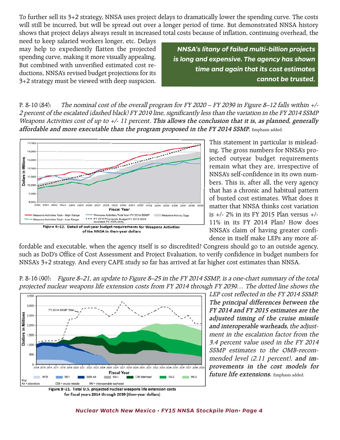To further sell its 3+2 strategy, NNSA uses project delays to dramatically lower the spending curve. The costs will still be incurred, but will be spread out over a longer period of time. But demonstrated NNSA history shows that project delays always result in increased total costs because of inflation, continuing overhead, the

need to keep salaried workers longer, etc. Delays may help to expediently flatten the projected spending curve, making it more visually appealing. But combined with unverified estimated cost reductions, NNSA's revised budget projections for its 3+2 strategy must be viewed with deep suspicion.

*NNSA's litany of failed multi-billion projects is long and expensive. The agency has shown time and again that its cost estimates cannot be trusted.*

P. 8-10 (84): The nominal cost of the overall program for FY 2020 – FY 2039 in Figure 8–12 falls within +/- 2 percent of the escalated (dashed black) FY 2019 line, significantly less than the variation in the FY 2014 SSMP Weapons Activities cost of up to +/- 11 percent. **This allows the conclusion that it is, as planned, generally affordable and more executable than the program proposed in the FY 2014 SSMP.** Emphasis added.



This statement in particular is misleading. The gross numbers for NNSA's projected outyear budget requirements remain what they are, irrespective of NNSA's self-confidence in its own numbers. This is, after all, the very agency that has a chronic and habitual pattern of busted cost estimates. What does it matter that NNSA thinks cost variation is +/- 2% in its FY 2015 Plan versus +/- 11% in its FY 2014 Plan? How does NNSA's claim of having greater confidence in itself make LEPs any more af-

fordable and executable, when the agency itself is so discredited? Congress should go to an outside agency, such as DoD's Office of Cost Assessment and Project Evaluation, to verify confidence in budget numbers for NNSA's 3+2 strategy. And every CAPE study so far has arrived at far higher cost estimates than NNSA.



P. 8-16 (90): Figure 8–21, an update to Figure 8–25 in the FY 2014 SSMP, is a one-chart summary of the total projected nuclear weapons life extension costs from FY 2014 through FY 2039… The dotted line shows the

LEP cost reflected in the FY 2014 SSMP. **The principal differences between the FY 2014 and FY 2015 estimates are the adjusted timing of the cruise missile and interoperable warheads,** the adjustment in the escalation factor from the 3.4 percent value used in the FY 2014 SSMP estimates to the OMB-recommended level (2.11 percent), **and improvements in the cost models for future life extensions.** Emphasis added.

Figure 8-21. Total U.S. projected nuclear weapons life extension costs for fiscal years 2014 through 2039 (then-year dollars)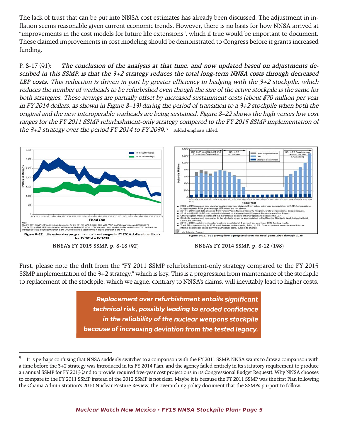The lack of trust that can be put into NNSA cost estimates has already been discussed. The adjustment in inflation seems reasonable given current economic trends. However, there is no basis for how NNSA arrived at "improvements in the cost models for future life extensions", which if true would be important to document. These claimed improvements in cost modeling should be demonstrated to Congress before it grants increased funding.

P. 8-17 (91): **The conclusion of the analysis at that time, and now updated based on adjustments described in this SSMP, is that the 3+2 strategy reduces the total long-term NNSA costs through decreased LEP costs.** This reduction is driven in part by greater efficiency in hedging with the 3+2 stockpile, which reduces the number of warheads to be refurbished even though the size of the active stockpile is the same for both strategies. These savings are partially offset by increased sustainment costs (about \$70 million per year in FY 2014 dollars, as shown in Figure 8–13) during the period of transition to a 3+2 stockpile when both the original and the new interoperable warheads are being sustained. Figure 8–22 shows the high versus low cost ranges for the FY 2011 SSMP refurbishment-only strategy compared to the FY 2015 SSMP implementation of the  $3+2$  strategy over the period FY 2014 to FY 2039.<sup>3</sup> Bolded emphasis added.



**NNSA's FY 2015 SSMP, p. 8-18 (92) NNSA's FY 2014 SSMP, p. 8-12 (198)**

First, please note the drift from the "FY 2011 SSMP refurbishment-only strategy compared to the FY 2015 SSMP implementation of the 3+2 strategy," which is key. This is a progression from maintenance of the stockpile to replacement of the stockpile, which we argue, contrary to NNSA's claims, will inevitably lead to higher costs.

> *Replacement over refurbishment entails significant technical risk, possibly leading to eroded confidence in the reliability of the nuclear weapons stockpile because of increasing deviation from the tested legacy.*

 $3$  It is perhaps confusing that NNSA suddenly switches to a comparison with the FY 2011 SSMP. NNSA wants to draw a comparison with a time before the 3+2 strategy was introduced in its FY 2014 Plan, and the agency failed entirely in its statutory requirement to produce an annual SSMP for FY 2013 (and to provide required five-year cost projections in its Congressional Budget Request). Why NNSA chooses to compare to the FY 2011 SSMP instead of the 2012 SSMP is not clear. Maybe it is because the FY 2011 SSMP was the first Plan following the Obama Administration's 2010 Nuclear Posture Review, the overarching policy document that the SSMPs purport to follow.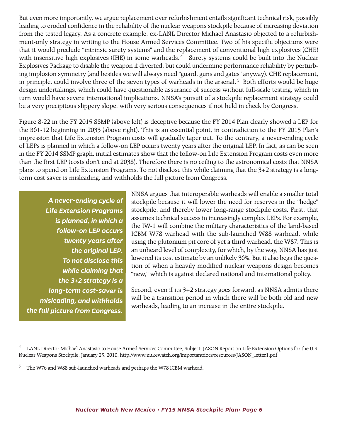But even more importantly, we argue replacement over refurbishment entails significant technical risk, possibly leading to eroded confidence in the reliability of the nuclear weapons stockpile because of increasing deviation from the tested legacy. As a concrete example, ex-LANL Director Michael Anastasio objected to a refurbishment-only strategy in writing to the House Armed Services Committee. Two of his specific objections were that it would preclude "intrinsic surety systems" and the replacement of conventional high explosives (CHE) with insensitive high explosives (IHE) in some warheads.<sup>4</sup> Surety systems could be built into the Nuclear Explosives Package to disable the weapon if diverted, but could undermine performance reliability by perturbing implosion symmetry (and besides we will always need "guard, guns and gates" anyway). CHE replacement, in principle, could involve three of the seven types of warheads in the arsenal. <sup>5</sup> Both efforts would be huge design undertakings, which could have questionable assurance of success without full-scale testing, which in turn would have severe international implications. NNSA's pursuit of a stockpile replacement strategy could be a very precipitous slippery slope, with very serious consequences if not held in check by Congress.

Figure 8-22 in the FY 2015 SSMP (above left) is deceptive because the FY 2014 Plan clearly showed a LEP for the B61-12 beginning in 2033 (above right). This is an essential point, in contradiction to the FY 2015 Plan's impression that Life Extension Program costs will gradually taper out. To the contrary, a never-ending cycle of LEPs is planned in which a follow-on LEP occurs twenty years after the original LEP. In fact, as can be seen in the FY 2014 SSMP graph, initial estimates show that the follow-on Life Extension Program costs even more than the first LEP (costs don't end at 2038). Therefore there is no ceiling to the astronomical costs that NNSA plans to spend on Life Extension Programs. To not disclose this while claiming that the 3+2 strategy is a longterm cost saver is misleading, and withholds the full picture from Congress.

*A never-ending cycle of Life Extension Programs is planned, in which a follow-on LEP occurs twenty years after the original LEP. To not disclose this while claiming that the 3+2 strategy is a long-term cost-saver is misleading, and withholds the full picture from Congress.*

NNSA argues that interoperable warheads will enable a smaller total stockpile because it will lower the need for reserves in the "hedge" stockpile, and thereby lower long-range stockpile costs. First, that assumes technical success in increasingly complex LEPs. For example, the IW-1 will combine the military characteristics of the land-based ICBM W78 warhead with the sub-launched W88 warhead, while using the plutonium pit core of yet a third warhead, the W87. This is an unheard level of complexity, for which, by the way, NNSA has just lowered its cost estimate by an unlikely 36%. But it also begs the question of when a heavily modified nuclear weapons design becomes "new," which is against declared national and international policy.

Second, even if its 3+2 strategy goes forward, as NNSA admits there will be a transition period in which there will be both old and new warheads, leading to an increase in the entire stockpile.

LANL Director Michael Anastasio to House Armed Services Committee, Subject: JASON Report on Life Extension Options for the U.S. Nuclear Weapons Stockpile, January 25, 2010, http://www.nukewatch.org/importantdocs/resources/JASON\_letter1.pdf

<sup>&</sup>lt;sup>5</sup> The W76 and W88 sub-launched warheads and perhaps the W78 ICBM warhead.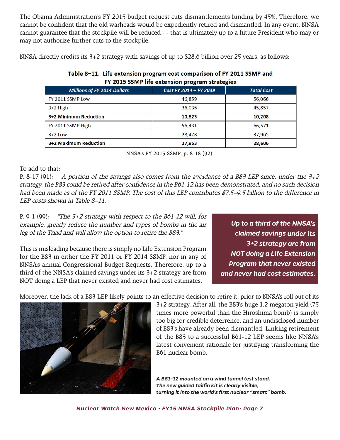The Obama Administration's FY 2015 budget request cuts dismantlements funding by 45%. Therefore, we cannot be confident that the old warheads would be expediently retired and dismantled. In any event, NNSA cannot guarantee that the stockpile will be reduced - - that is ultimately up to a future President who may or may not authorize further cuts to the stockpile.

NNSA directly credits its 3+2 strategy with savings of up to \$28.6 billion over 25 years, as follows:

| FY 2015 SSMP life extension program strategies |                   |  |  |
|------------------------------------------------|-------------------|--|--|
| Cost FY 2014 - FY 2039                         | <b>Total Cost</b> |  |  |
| 46,859                                         | 56,066            |  |  |
| 36,036                                         | 45,857            |  |  |
| 10,823                                         | 10,208            |  |  |
| 56,431                                         | 66,571            |  |  |
| 28,478                                         | 37,965            |  |  |
| 27,953                                         | 28,606            |  |  |
|                                                |                   |  |  |

# Table 8-11. Life extension program cost comparison of FY 2011 SSMP and

**NNSA's FY 2015 SSMP, p. 8-18 (92)**

To add to that:

P. 8-17 (91): A portion of the savings also comes from the avoidance of a B83 LEP since, under the  $3+2$ strategy, the B83 could be retired after confidence in the B61-12 has been demonstrated, and no such decision had been made as of the FY 2011 SSMP. The cost of this LEP contributes \$7.5–9.5 billion to the difference in LEP costs shown in Table 8–11.

P. 9-1 (99): "The 3+2 strategy with respect to the B61-12 will, for example, greatly reduce the number and types of bombs in the air leg of the Triad and will allow the option to retire the B83."

This is misleading because there is simply no Life Extension Program for the B83 in either the FY 2011 or FY 2014 SSMP, nor in any of NNSA's annual Congressional Budget Requests. Therefore, up to a third of the NNSA's claimed savings under its 3+2 strategy are from NOT doing a LEP that never existed and never had cost estimates.

*Up to a third of the NNSA's claimed savings under its 3+2 strategy are from NOT doing a Life Extension Program that never existed and never had cost estimates.*

Moreover, the lack of a B83 LEP likely points to an effective decision to retire it, prior to NNSA's roll out of its

3+2 strategy. After all, the B83's huge 1.2 megaton yield (75 times more powerful than the Hiroshima bomb) is simply too big for credible deterrence, and an undisclosed number of B83's have already been dismantled. Linking retirement of the B83 to a successful B61-12 LEP seems like NNSA's latest convenient rationale for justifying transforming the B61 nuclear bomb.

*A B61-12 mounted on a wind tunnel test stand. The new guided tailfin kit is clearly visible, turning it into the world's first nuclear "smart" bomb.*

*Nuclear Watch New Mexico • FY15 NNSA Stockpile Plan• Page 7*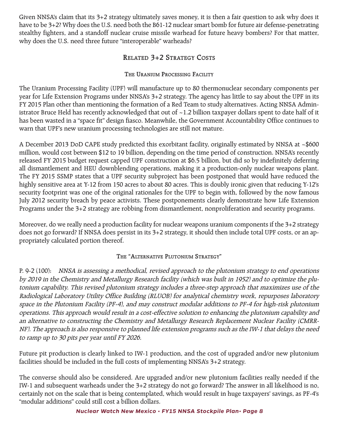Given NNSA's claim that its 3+2 strategy ultimately saves money, it is then a fair question to ask why does it have to be 3+2? Why does the U.S. need both the B61-12 nuclear smart bomb for future air defense-penetrating stealthy fighters, and a standoff nuclear cruise missile warhead for future heavy bombers? For that matter, why does the U.S. need three future "interoperable" warheads?

# **RELATED 3+2 STRATEGY COSTS**

### **THE URANIUM PROCESSING FACILITY**

The Uranium Processing Facility (UPF) will manufacture up to 80 thermonuclear secondary components per year for Life Extension Programs under NNSA's 3+2 strategy. The agency has little to say about the UPF in its FY 2015 Plan other than mentioning the formation of a Red Team to study alternatives. Acting NNSA Administrator Bruce Held has recently acknowledged that out of ~1.2 billion taxpayer dollars spent to date half of it has been wasted in a "space fit" design fiasco. Meanwhile, the Government Accountability Office continues to warn that UPF's new uranium processing technologies are still not mature.

A December 2013 DoD CAPE study predicted this exorbitant facility, originally estimated by NNSA at ~\$600 million, would cost between \$12 to 19 billion, depending on the time period of construction. NNSA's recently released FY 2015 budget request capped UPF construction at \$6.5 billion, but did so by indefinitely deferring all dismantlement and HEU downblending operations, making it a production-only nuclear weapons plant. The FY 2015 SSMP states that a UPF security subproject has been postponed that would have reduced the highly sensitive area at Y-12 from 150 acres to about 80 acres. This is doubly ironic given that reducing Y-12's security footprint was one of the original rationales for the UPF to begin with, followed by the now famous July 2012 security breach by peace activists. These postponements clearly demonstrate how Life Extension Programs under the 3+2 strategy are robbing from dismantlement, nonproliferation and security programs.

Moreover, do we really need a production facility for nuclear weapons uranium components if the 3+2 strategy does not go forward? If NNSA does persist in its 3+2 strategy, it should then include total UPF costs, or an appropriately calculated portion thereof.

### **THE "ALTERNATIVE PLUTONIUM STRATEGY"**

P. 9-2 (100): NNSA is assessing a methodical, revised approach to the plutonium strategy to end operations by 2019 in the Chemistry and Metallurgy Research facility (which was built in 1952) and to optimize the plutonium capability. This revised plutonium strategy includes a three-step approach that maximizes use of the Radiological Laboratory Utility Office Building (RLUOB) for analytical chemistry work, repurposes laboratory space in the Plutonium Facility (PF-4), and may construct modular additions to PF-4 for high-risk plutonium operations. This approach would result in a cost-effective solution to enhancing the plutonium capability and an alternative to constructing the Chemistry and Metallurgy Research Replacement Nuclear Facility (CMRR-NF). The approach is also responsive to planned life extension programs such as the IW-1 that delays the need to ramp up to 30 pits per year until FY 2026.

Future pit production is clearly linked to IW-1 production, and the cost of upgraded and/or new plutonium facilities should be included in the full costs of implementing NNSA's 3+2 strategy.

The converse should also be considered. Are upgraded and/or new plutonium facilities really needed if the IW-1 and subsequent warheads under the 3+2 strategy do not go forward? The answer in all likelihood is no, certainly not on the scale that is being contemplated, which would result in huge taxpayers' savings, as PF-4's "modular additions" could still cost a billion dollars.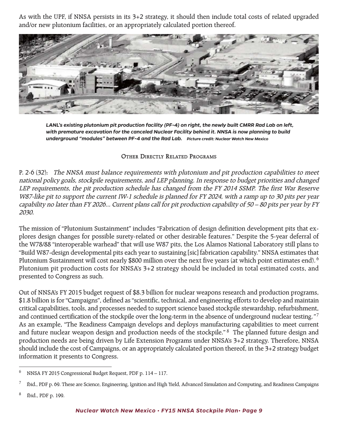As with the UPF, if NNSA persists in its 3+2 strategy, it should then include total costs of related upgraded and/or new plutonium facilities, or an appropriately calculated portion thereof.



*LANL's existing plutonium pit production facility (PF-4) on right, the newly built CMRR Rad Lab on left, with premature excavation for the canceled Nuclear Facility behind it. NNSA is now planning to build underground "modules" between PF-4 and the Rad Lab. Picture credit: Nuclear Watch New Mexico*

#### **OTHER DIRECTLY RELATED PROGRAMS**

P. 2-6 (32): The NNSA must balance requirements with plutonium and pit production capabilities to meet national policy goals, stockpile requirements, and LEP planning. In response to budget priorities and changed LEP requirements, the pit production schedule has changed from the FY 2014 SSMP. The first War Reserve W87-like pit to support the current IW-1 schedule is planned for FY 2024, with a ramp up to 30 pits per year capability no later than FY 2026... Current plans call for pit production capability of 50 – 80 pits per year by FY 2030.

The mission of "Plutonium Sustainment" includes "Fabrication of design definition development pits that explores design changes for possible surety-related or other desirable features." Despite the 5-year deferral of the W78/88 "interoperable warhead" that will use W87 pits, the Los Alamos National Laboratory still plans to "Build W87-design developmental pits each year to sustaining [sic] fabrication capability." NNSA estimates that Plutonium Sustainment will cost nearly \$800 million over the next five years (at which point estimates end).  $^6$ Plutonium pit production costs for NNSA's 3+2 strategy should be included in total estimated costs, and presented to Congress as such.

Out of NNSA's FY 2015 budget request of \$8.3 billion for nuclear weapons research and production programs, \$1.8 billion is for "Campaigns", defined as "scientific, technical, and engineering efforts to develop and maintain critical capabilities, tools, and processes needed to support science based stockpile stewardship, refurbishment, and continued certification of the stockpile over the long-term in the absence of underground nuclear testing."<sup>7</sup> As an example, "The Readiness Campaign develops and deploys manufacturing capabilities to meet current and future nuclear weapon design and production needs of the stockpile."<sup>8</sup> The planned future design and production needs are being driven by Life Extension Programs under NNSA's 3+2 strategy. Therefore, NNSA should include the cost of Campaigns, or an appropriately calculated portion thereof, in the 3+2 strategy budget information it presents to Congress.

<sup>6</sup> NNSA FY 2015 Congressional Budget Request, PDF p. 114 – 117.

<sup>7</sup> Ibid., PDF p. 69. These are Science, Engineering, Ignition and High Yield, Advanced Simulation and Computing, and Readiness Campaigns

<sup>8</sup> Ibid., PDF p. 199.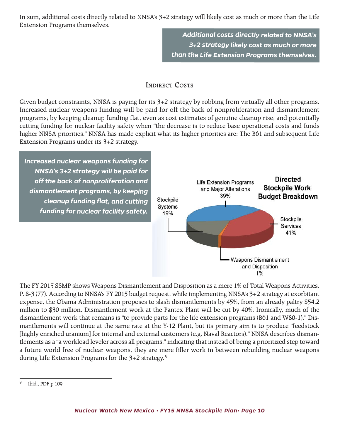In sum, additional costs directly related to NNSA's 3+2 strategy will likely cost as much or more than the Life Extension Programs themselves.

> *Additional costs directly related to NNSA's 3+2 strategy likely cost as much or more than the Life Extension Programs themselves.*

### **INDIRECT COSTS**

Given budget constraints, NNSA is paying for its 3+2 strategy by robbing from virtually all other programs. Increased nuclear weapons funding will be paid for off the back of nonproliferation and dismantlement programs; by keeping cleanup funding flat, even as cost estimates of genuine cleanup rise; and potentially cutting funding for nuclear facility safety when "the decrease is to reduce base operational costs and funds higher NNSA priorities." NNSA has made explicit what its higher priorities are: The B61 and subsequent Life Extension Programs under its 3+2 strategy.

*Increased nuclear weapons funding for NNSA's 3+2 strategy will be paid for o! the back of nonproliferation and dismantlement programs, by keeping cleanup funding flat, and cutting funding for nuclear facility safety.*



The FY 2015 SSMP shows Weapons Dismantlement and Disposition as a mere 1% of Total Weapons Activities. P. 8-3 (77). According to NNSA's FY 2015 budget request, while implementing NNSA's 3+2 strategy at exorbitant expense, the Obama Administration proposes to slash dismantlements by 45%, from an already paltry \$54.2 million to \$30 million. Dismantlement work at the Pantex Plant will be cut by 40%. Ironically, much of the dismantlement work that remains is "to provide parts for the life extension programs (B61 and W80-1)." Dismantlements will continue at the same rate at the Y-12 Plant, but its primary aim is to produce "feedstock [highly enriched uranium] for internal and external customers (e.g. Naval Reactors)." NNSA describes dismantlements as a "a workload leveler across all programs," indicating that instead of being a prioritized step toward a future world free of nuclear weapons, they are mere filler work in between rebuilding nuclear weapons during Life Extension Programs for the 3+2 strategy. <sup>9</sup>

<sup>9</sup> Ibid., PDF p 109.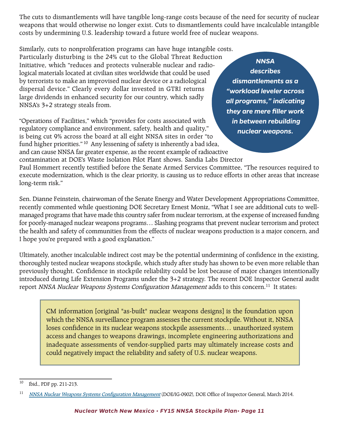The cuts to dismantlements will have tangible long-range costs because of the need for security of nuclear weapons that would otherwise no longer exist. Cuts to dismantlements could have incalculable intangible costs by undermining U.S. leadership toward a future world free of nuclear weapons.

Similarly, cuts to nonproliferation programs can have huge intangible costs. Particularly disturbing is the 24% cut to the Global Threat Reduction Initiative, which "reduces and protects vulnerable nuclear and radiological materials located at civilian sites worldwide that could be used by terrorists to make an improvised nuclear device or a radiological dispersal device." Clearly every dollar invested in GTRI returns large dividends in enhanced security for our country, which sadly NNSA's 3+2 strategy steals from.

"Operations of Facilities," which "provides for costs associated with regulatory compliance and environment, safety, health and quality," is being cut 9% across the board at all eight NNSA sites in order "to fund higher priorities." <sup>10</sup> Any lessening of safety is inherently a bad idea, and can cause NNSA far greater expense, as the recent example of radioactive contamination at DOE's Waste Isolation Pilot Plant shows. Sandia Labs Director

*NNSA describes dismantlements as a "workload leveler across all programs," indicating they are mere filler work in between rebuilding nuclear weapons.*

Paul Hommert recently testified before the Senate Armed Services Committee, "The resources required to execute modernization, which is the clear priority, is causing us to reduce efforts in other areas that increase long-term risk."

Sen. Dianne Feinstein, chairwoman of the Senate Energy and Water Development Appropriations Committee, recently commented while questioning DOE Secretary Ernest Moniz, "What I see are additional cuts to wellmanaged programs that have made this country safer from nuclear terrorism, at the expense of increased funding for poorly-managed nuclear weapons programs… Slashing programs that prevent nuclear terrorism and protect the health and safety of communities from the effects of nuclear weapons production is a major concern, and I hope you're prepared with a good explanation."

Ultimately, another incalculable indirect cost may be the potential undermining of confidence in the existing, thoroughly tested nuclear weapons stockpile, which study after study has shown to be even more reliable than previously thought. Confidence in stockpile reliability could be lost because of major changes intentionally introduced during Life Extension Programs under the 3+2 strategy. The recent DOE Inspector General audit report NNSA Nuclear Weapons Systems Configuration Management adds to this concern.<sup>11</sup> It states:

CM information [original "as-built" nuclear weapons designs] is the foundation upon which the NNSA surveillance program assesses the current stockpile. Without it, NNSA loses confidence in its nuclear weapons stockpile assessments… unauthorized system access and changes to weapons drawings, incomplete engineering authorizations and inadequate assessments of vendor-supplied parts may ultimately increase costs and could negatively impact the reliability and safety of U.S. nuclear weapons.

<sup>10</sup> Ibid., PDF pp. 211-213.

<sup>&</sup>lt;sup>11</sup> NNSA Nuclear Weapons Systems Configuration Management (DOE/IG-0902), DOE Office of Inspector General, March 2014.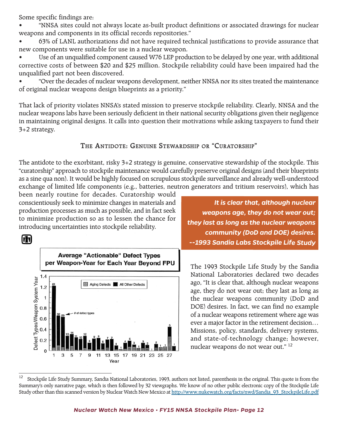Some specific findings are:

• "NNSA sites could not always locate as-built product definitions or associated drawings for nuclear weapons and components in its official records repositories."

• 63% of LANL authorizations did not have required technical justifications to provide assurance that new components were suitable for use in a nuclear weapon.

Use of an unqualified component caused W76 LEP production to be delayed by one year, with additional corrective costs of between \$20 and \$25 million. Stockpile reliability could have been impaired had the unqualified part not been discovered.

• "Over the decades of nuclear weapons development, neither NNSA nor its sites treated the maintenance of original nuclear weapons design blueprints as a priority."

That lack of priority violates NNSA's stated mission to preserve stockpile reliability. Clearly, NNSA and the nuclear weapons labs have been seriously deficient in their national security obligations given their negligence in maintaining original designs. It calls into question their motivations while asking taxpayers to fund their 3+2 strategy.

## **THE ANTIDOTE: GENUINE STEWARDSHIP OR "CURATORSHIP"**

The antidote to the exorbitant, risky 3+2 strategy is genuine, conservative stewardship of the stockpile. This "curatorship" approach to stockpile maintenance would carefully preserve original designs (and their blueprints as a sine qua non). It would be highly focused on scrupulous stockpile surveillance and already well-understood exchange of limited life components (e.g., batteries, neutron generators and tritium reservoirs), which has

been nearly routine for decades. Curatorship would conscientiously seek to minimize changes in materials and production processes as much as possible, and in fact seek to minimize production so as to lessen the chance for introducing uncertainties into stockpile reliability.





*It is clear that, although nuclear weapons age, they do not wear out; they last as long as the nuclear weapons community (DoD and DOE) desires. --1993 Sandia Labs Stockpile Life Study*

The 1993 Stockpile Life Study by the Sandia National Laboratories declared two decades ago, "It is clear that, although nuclear weapons age, they do not wear out; they last as long as the nuclear weapons community (DoD and DOE) desires. In fact, we can find no example of a nuclear weapons retirement where age was ever a major factor in the retirement decision… Missions, policy, standards, delivery systems, and state-of-technology change; however, nuclear weapons do not wear out." 12

<sup>&</sup>lt;sup>12</sup> Stockpile Life Study Summary, Sandia National Laboratories, 1993, authors not listed, parenthesis in the original. This quote is from the Summary's only narrative page, which is then followed by 32 viewgraphs. We know of no other public electronic copy of the Stockpile Life Study other than this scanned version by Nuclear Watch New Mexico at http://www.nukewatch.org/facts/nwd/Sandia\_93\_StockpileLife.pdf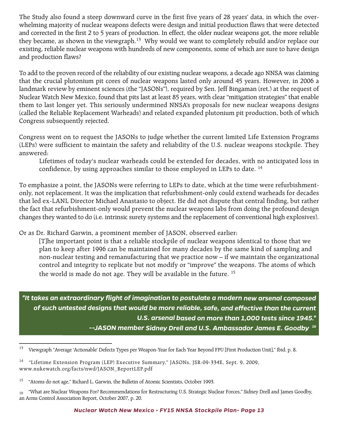The Study also found a steep downward curve in the first five years of 28 years' data, in which the overwhelming majority of nuclear weapons defects were design and initial production flaws that were detected and corrected in the first 2 to 5 years of production. In effect, the older nuclear weapons got, the more reliable they became, as shown in the viewgraph.<sup>13</sup> Why would we want to completely rebuild and/or replace our existing, reliable nuclear weapons with hundreds of new components, some of which are sure to have design and production flaws?

To add to the proven record of the reliability of our existing nuclear weapons, a decade ago NNSA was claiming that the crucial plutonium pit cores of nuclear weapons lasted only around 45 years. However, in 2006 a landmark review by eminent sciences (the "JASONs"), required by Sen. Jeff Bingaman (ret.) at the request of Nuclear Watch New Mexico, found that pits last at least 85 years, with clear "mitigation strategies" that enable them to last longer yet. This seriously undermined NNSA's proposals for new nuclear weapons designs (called the Reliable Replacement Warheads) and related expanded plutonium pit production, both of which Congress subsequently rejected.

Congress went on to request the JASONs to judge whether the current limited Life Extension Programs (LEPs) were sufficient to maintain the safety and reliability of the U.S. nuclear weapons stockpile. They answered:

Lifetimes of today's nuclear warheads could be extended for decades, with no anticipated loss in confidence, by using approaches similar to those employed in LEPs to date.<sup>14</sup>

To emphasize a point, the JASONs were referring to LEPs to date, which at the time were refurbishmentonly, not replacement. It was the implication that refurbishment-only could extend warheads for decades that led ex-LANL Director Michael Anastasio to object. He did not dispute that central finding, but rather the fact that refurbishment-only would prevent the nuclear weapons labs from doing the profound design changes they wanted to do (i.e. intrinsic surety systems and the replacement of conventional high explosives).

Or as Dr. Richard Garwin, a prominent member of JASON, observed earlier:

[T]he important point is that a reliable stockpile of nuclear weapons identical to those that we plan to keep after 1996 can be maintained for many decades by the same kind of sampling and non-nuclear testing and remanufacturing that we practice now – if we maintain the organizational control and integrity to replicate but not modify or "improve" the weapons. The atoms of which the world is made do not age. They will be available in the future. <sup>15</sup>

*"It takes an extraordinary flight of imagination to postulate a modern new arsenal composed* of such untested designs that would be more reliable, safe, and effective than the current *U.S. arsenal based on more than 1,000 tests since 1945." --JASON member Sidney Drell and U.S. Ambassador James E. Goodby <sup>16</sup>*

<sup>13</sup> Viewgraph "Average 'Actionable' Defects Types per Weapon-Year for Each Year Beyond FPU [First Production Unit]," Ibid. p. 8.

<sup>&</sup>lt;sup>14</sup> "Lifetime Extension Program (LEP) Executive Summary," JASONs, JSR-09-334E, Sept. 9, 2009, www.nukewatch.org/facts/nwd/JASON\_ReportLEP.pdf

<sup>&</sup>lt;sup>15</sup> "Atoms do not age," Richard L. Garwin, the Bulletin of Atomic Scientists, October 1993.

<sup>&</sup>lt;sup>16</sup> "What are Nuclear Weapons For? Recommendations for Restructuring U.S. Strategic Nuclear Forces," Sidney Drell and James Goodby, an Arms Control Association Report, October 2007, p. 20.